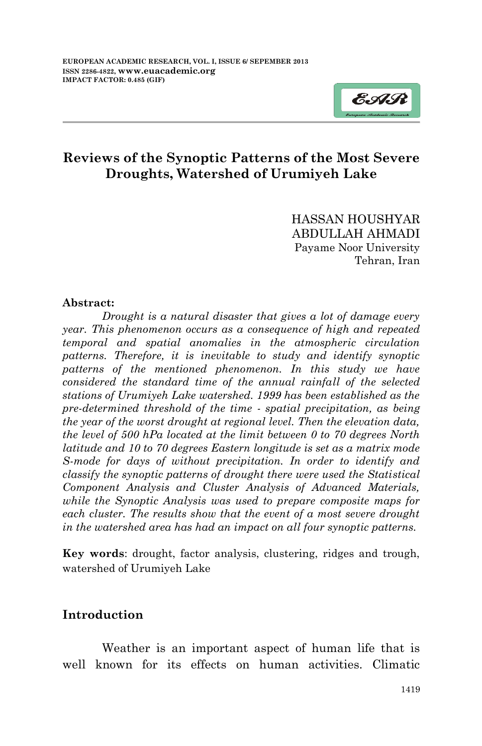

## **Reviews of the Synoptic Patterns of the Most Severe Droughts, Watershed of Urumiyeh Lake**

HASSAN HOUSHYAR ABDULLAH AHMADI Payame Noor University Tehran, Iran

#### **Abstract:**

*Drought is a natural disaster that gives a lot of damage every year. This phenomenon occurs as a consequence of high and repeated temporal and spatial anomalies in the atmospheric circulation patterns. Therefore, it is inevitable to study and identify synoptic*  patterns of the mentioned phenomenon. In this study we have *considered the standard time of the annual rainfall of the selected stations of Urumiyeh Lake watershed. 1999 has been established as the pre-determined threshold of the time - spatial precipitation, as being the year of the worst drought at regional level. Then the elevation data, the level of 500 hPa located at the limit between 0 to 70 degrees North latitude and 10 to 70 degrees Eastern longitude is set as a matrix mode S-mode for days of without precipitation. In order to identify and classify the synoptic patterns of drought there were used the Statistical Component Analysis and Cluster Analysis of Advanced Materials, while the Synoptic Analysis was used to prepare composite maps for each cluster. The results show that the event of a most severe drought in the watershed area has had an impact on all four synoptic patterns.* 

**Key words**: drought, factor analysis, clustering, ridges and trough, watershed of Urumiyeh Lake

### **Introduction**

Weather is an important aspect of human life that is well known for its effects on human activities. Climatic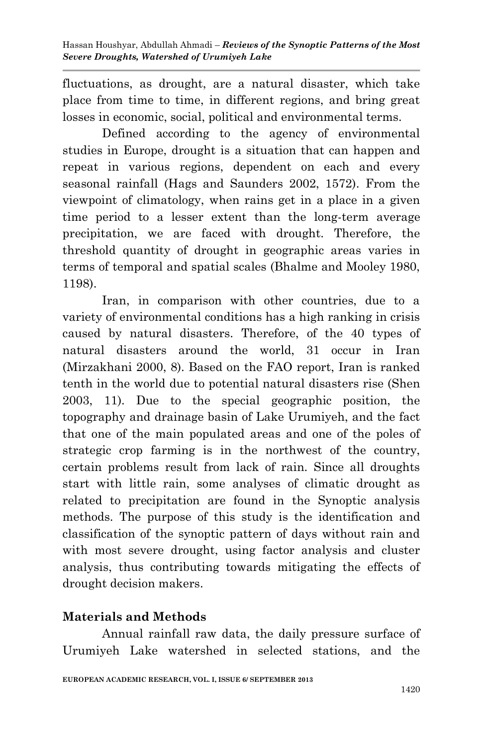fluctuations, as drought, are a natural disaster, which take place from time to time, in different regions, and bring great losses in economic, social, political and environmental terms.

Defined according to the agency of environmental studies in Europe, drought is a situation that can happen and repeat in various regions, dependent on each and every seasonal rainfall (Hags and Saunders 2002, 1572). From the viewpoint of climatology, when rains get in a place in a given time period to a lesser extent than the long-term average precipitation, we are faced with drought. Therefore, the threshold quantity of drought in geographic areas varies in terms of temporal and spatial scales (Bhalme and Mooley 1980, 1198).

Iran, in comparison with other countries, due to a variety of environmental conditions has a high ranking in crisis caused by natural disasters. Therefore, of the 40 types of natural disasters around the world, 31 occur in Iran (Mirzakhani 2000, 8). Based on the FAO report, Iran is ranked tenth in the world due to potential natural disasters rise (Shen 2003, 11). Due to the special geographic position, the topography and drainage basin of Lake Urumiyeh, and the fact that one of the main populated areas and one of the poles of strategic crop farming is in the northwest of the country, certain problems result from lack of rain. Since all droughts start with little rain, some analyses of climatic drought as related to precipitation are found in the Synoptic analysis methods. The purpose of this study is the identification and classification of the synoptic pattern of days without rain and with most severe drought, using factor analysis and cluster analysis, thus contributing towards mitigating the effects of drought decision makers.

# **Materials and Methods**

Annual rainfall raw data, the daily pressure surface of Urumiyeh Lake watershed in selected stations, and the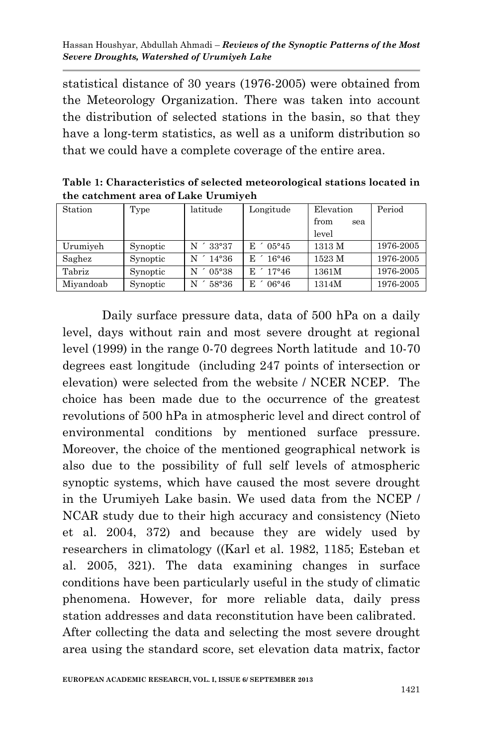statistical distance of 30 years (1976-2005) were obtained from the Meteorology Organization. There was taken into account the distribution of selected stations in the basin, so that they have a long-term statistics, as well as a uniform distribution so that we could have a complete coverage of the entire area.

**Table 1: Characteristics of selected meteorological stations located in the catchment area of Lake Urumiyeh**

| Station   | Type     | latitude   | Longitude            | Elevation   | Period    |
|-----------|----------|------------|----------------------|-------------|-----------|
|           |          |            |                      | from<br>sea |           |
|           |          |            |                      | level       |           |
| Urumiyeh  | Synoptic | 33°37<br>N | $05^{\circ}45$<br>E  | 1313 M      | 1976-2005 |
| Saghez    | Synoptic | 14°36<br>N | E.<br>$16^{\circ}46$ | 1523 M      | 1976-2005 |
| Tabriz    | Synoptic | 05°38<br>N | F.<br>17°46          | 1361M       | 1976-2005 |
| Miyandoab | Synoptic | 58°36<br>N | F.<br>$06^{\circ}46$ | 1314M       | 1976-2005 |

Daily surface pressure data, data of 500 hPa on a daily level, days without rain and most severe drought at regional level (1999) in the range 0-70 degrees North latitude and 10-70 degrees east longitude (including 247 points of intersection or elevation) were selected from the website / NCER NCEP. The choice has been made due to the occurrence of the greatest revolutions of 500 hPa in atmospheric level and direct control of environmental conditions by mentioned surface pressure. Moreover, the choice of the mentioned geographical network is also due to the possibility of full self levels of atmospheric synoptic systems, which have caused the most severe drought in the Urumiyeh Lake basin. We used data from the NCEP / NCAR study due to their high accuracy and consistency (Nieto et al. 2004, 372) and because they are widely used by researchers in climatology ((Karl et al. 1982, 1185; Esteban et al. 2005, 321). The data examining changes in surface conditions have been particularly useful in the study of climatic phenomena. However, for more reliable data, daily press station addresses and data reconstitution have been calibrated. After collecting the data and selecting the most severe drought area using the standard score, set elevation data matrix, factor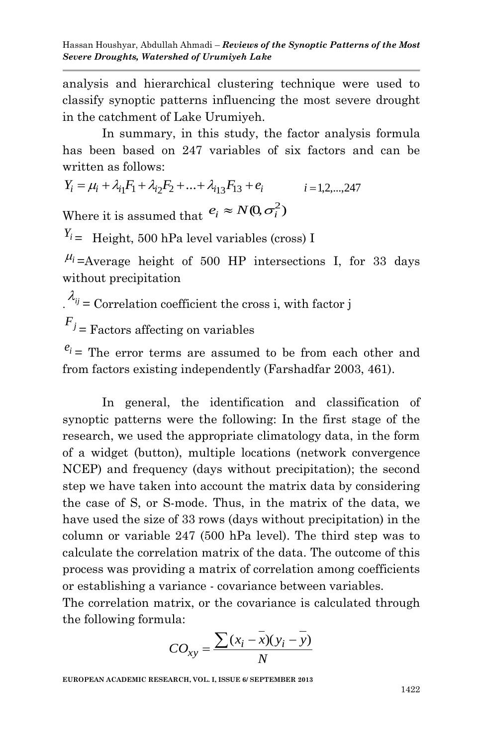analysis and hierarchical clustering technique were used to classify synoptic patterns influencing the most severe drought in the catchment of Lake Urumiyeh.

In summary, in this study, the factor analysis formula has been based on 247 variables of six factors and can be written as follows:

$$
Y_i = \mu_i + \lambda_{i1} F_1 + \lambda_{i2} F_2 + \dots + \lambda_{i13} F_{13} + e_i \qquad i = 1, 2, \dots, 247
$$

Where it is assumed that  $e_i \approx N(0, \sigma_i^2)$ 

 $Y_i$  = Height, 500 hPa level variables (cross) I

 $\mu$ <sub>i</sub> =Average height of 500 HP intersections I, for 33 days without precipitation

 $i^{\lambda_{ij}}$  = Correlation coefficient the cross i, with factor j  $F_j$  = Factors affecting on variables

 $e_i$  = The error terms are assumed to be from each other and from factors existing independently (Farshadfar 2003, 461).

In general, the identification and classification of synoptic patterns were the following: In the first stage of the research, we used the appropriate climatology data, in the form of a widget (button), multiple locations (network convergence NCEP) and frequency (days without precipitation); the second step we have taken into account the matrix data by considering the case of S, or S-mode. Thus, in the matrix of the data, we have used the size of 33 rows (days without precipitation) in the column or variable 247 (500 hPa level). The third step was to calculate the correlation matrix of the data. The outcome of this process was providing a matrix of correlation among coefficients or establishing a variance - covariance between variables.

The correlation matrix, or the covariance is calculated through the following formula:

$$
CO_{xy} = \frac{\sum (x_i - \overline{x})(y_i - \overline{y})}{N}
$$

**EUROPEAN ACADEMIC RESEARCH, VOL. I, ISSUE 6/ SEPTEMBER 2013**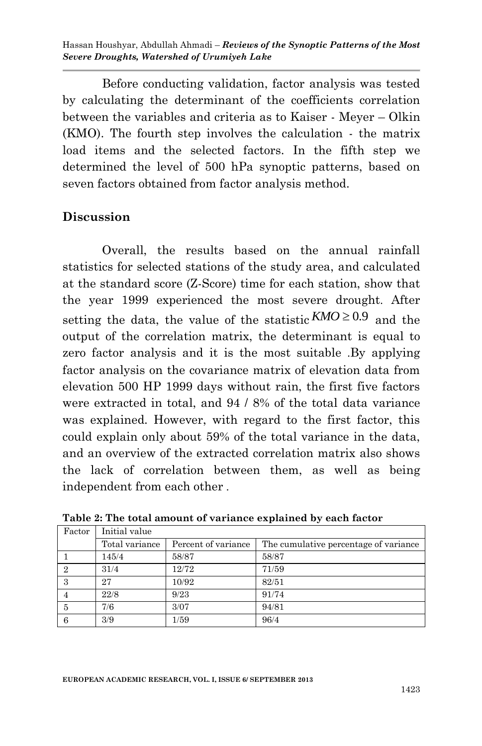Before conducting validation, factor analysis was tested by calculating the determinant of the coefficients correlation between the variables and criteria as to Kaiser - Meyer – Olkin (KMO). The fourth step involves the calculation - the matrix load items and the selected factors. In the fifth step we determined the level of 500 hPa synoptic patterns, based on seven factors obtained from factor analysis method.

## **Discussion**

Overall, the results based on the annual rainfall statistics for selected stations of the study area, and calculated at the standard score (Z-Score) time for each station, show that the year 1999 experienced the most severe drought. After setting the data, the value of the statistic  $KMO \geq 0.9$  and the output of the correlation matrix, the determinant is equal to zero factor analysis and it is the most suitable .By applying factor analysis on the covariance matrix of elevation data from elevation 500 HP 1999 days without rain, the first five factors were extracted in total, and 94 / 8% of the total data variance was explained. However, with regard to the first factor, this could explain only about 59% of the total variance in the data, and an overview of the extracted correlation matrix also shows the lack of correlation between them, as well as being independent from each other .

| Factor | Initial value  |                     |                                       |  |  |
|--------|----------------|---------------------|---------------------------------------|--|--|
|        | Total variance | Percent of variance | The cumulative percentage of variance |  |  |
|        | 145/4          | 58/87               | 58/87                                 |  |  |
|        | 31/4           | 12/72               | 71/59                                 |  |  |
| 3      | 27             | 10/92               | 82/51                                 |  |  |
|        | 22/8           | 9/23                | 91/74                                 |  |  |
| 5      | 7/6            | 3/07                | 94/81                                 |  |  |
| 6      | 3/9            | 1/59                | 96/4                                  |  |  |

**Table 2: The total amount of variance explained by each factor**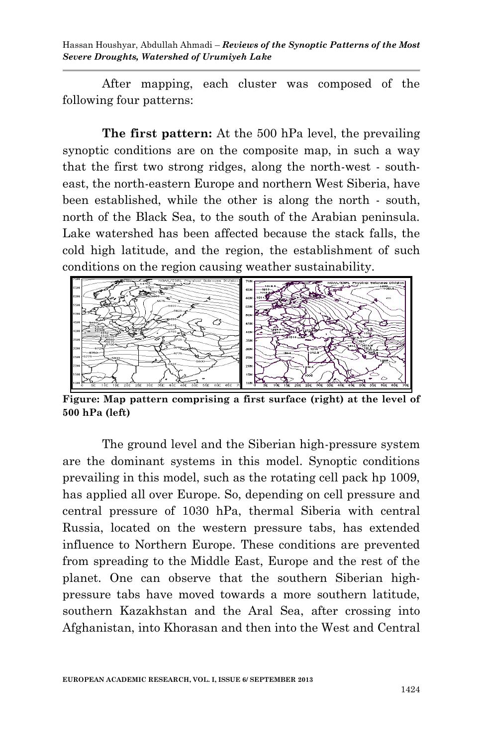After mapping, each cluster was composed of the following four patterns:

**The first pattern:** At the 500 hPa level, the prevailing synoptic conditions are on the composite map, in such a way that the first two strong ridges, along the north-west - southeast, the north-eastern Europe and northern West Siberia, have been established, while the other is along the north - south, north of the Black Sea, to the south of the Arabian peninsula. Lake watershed has been affected because the stack falls, the cold high latitude, and the region, the establishment of such conditions on the region causing weather sustainability.



**Figure: Map pattern comprising a first surface (right) at the level of 500 hPa (left)**

The ground level and the Siberian high-pressure system are the dominant systems in this model. Synoptic conditions prevailing in this model, such as the rotating cell pack hp 1009, has applied all over Europe. So, depending on cell pressure and central pressure of 1030 hPa, thermal Siberia with central Russia, located on the western pressure tabs, has extended influence to Northern Europe. These conditions are prevented from spreading to the Middle East, Europe and the rest of the planet. One can observe that the southern Siberian highpressure tabs have moved towards a more southern latitude, southern Kazakhstan and the Aral Sea, after crossing into Afghanistan, into Khorasan and then into the West and Central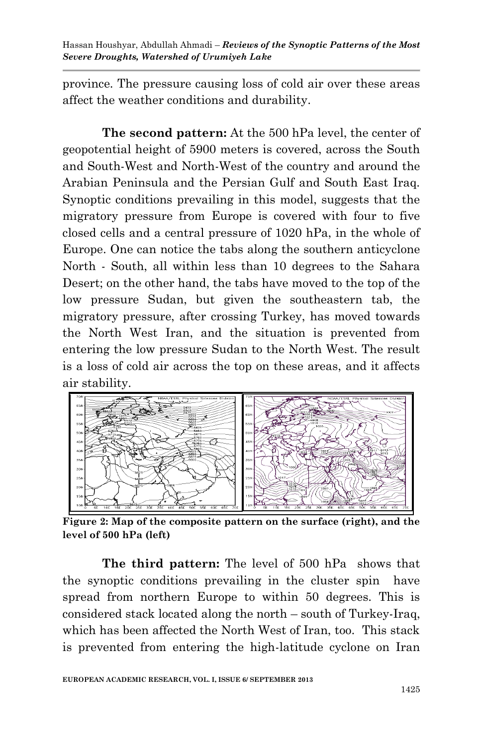province. The pressure causing loss of cold air over these areas affect the weather conditions and durability.

**The second pattern:** At the 500 hPa level, the center of geopotential height of 5900 meters is covered, across the South and South-West and North-West of the country and around the Arabian Peninsula and the Persian Gulf and South East Iraq. Synoptic conditions prevailing in this model, suggests that the migratory pressure from Europe is covered with four to five closed cells and a central pressure of 1020 hPa, in the whole of Europe. One can notice the tabs along the southern anticyclone North - South, all within less than 10 degrees to the Sahara Desert; on the other hand, the tabs have moved to the top of the low pressure Sudan, but given the southeastern tab, the migratory pressure, after crossing Turkey, has moved towards the North West Iran, and the situation is prevented from entering the low pressure Sudan to the North West. The result is a loss of cold air across the top on these areas, and it affects air stability.



**Figure 2: Map of the composite pattern on the surface (right), and the level of 500 hPa (left)**

**The third pattern:** The level of 500 hPa shows that the synoptic conditions prevailing in the cluster spin have spread from northern Europe to within 50 degrees. This is considered stack located along the north – south of Turkey-Iraq, which has been affected the North West of Iran, too. This stack is prevented from entering the high-latitude cyclone on Iran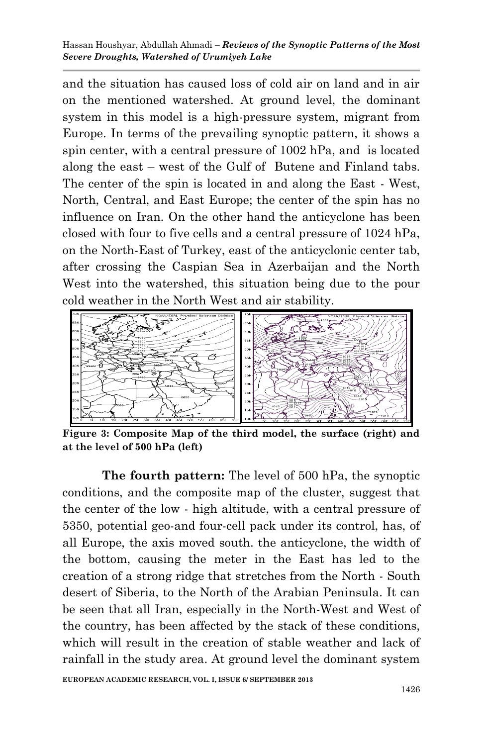and the situation has caused loss of cold air on land and in air on the mentioned watershed. At ground level, the dominant system in this model is a high-pressure system, migrant from Europe. In terms of the prevailing synoptic pattern, it shows a spin center, with a central pressure of 1002 hPa, and is located along the east – west of the Gulf of Butene and Finland tabs. The center of the spin is located in and along the East - West, North, Central, and East Europe; the center of the spin has no influence on Iran. On the other hand the anticyclone has been closed with four to five cells and a central pressure of 1024 hPa, on the North-East of Turkey, east of the anticyclonic center tab, after crossing the Caspian Sea in Azerbaijan and the North West into the watershed, this situation being due to the pour cold weather in the North West and air stability.



**Figure 3: Composite Map of the third model, the surface (right) and at the level of 500 hPa (left)**

**The fourth pattern:** The level of 500 hPa, the synoptic conditions, and the composite map of the cluster, suggest that the center of the low - high altitude, with a central pressure of 5350, potential geo-and four-cell pack under its control, has, of all Europe, the axis moved south. the anticyclone, the width of the bottom, causing the meter in the East has led to the creation of a strong ridge that stretches from the North - South desert of Siberia, to the North of the Arabian Peninsula. It can be seen that all Iran, especially in the North-West and West of the country, has been affected by the stack of these conditions, which will result in the creation of stable weather and lack of rainfall in the study area. At ground level the dominant system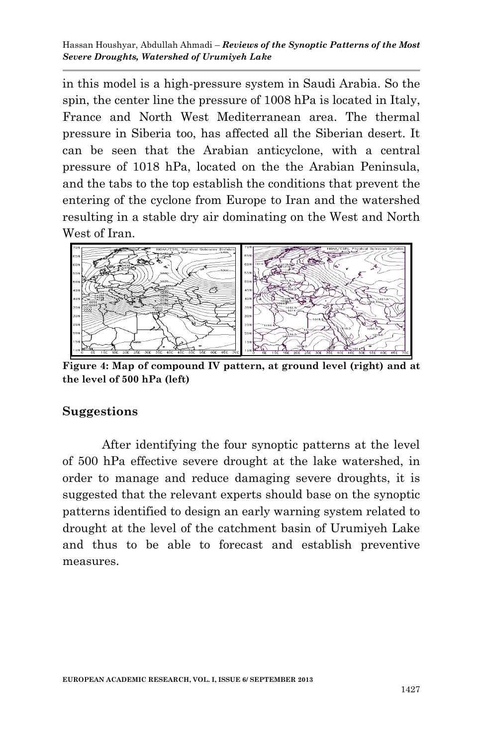in this model is a high-pressure system in Saudi Arabia. So the spin, the center line the pressure of 1008 hPa is located in Italy, France and North West Mediterranean area. The thermal pressure in Siberia too, has affected all the Siberian desert. It can be seen that the Arabian anticyclone, with a central pressure of 1018 hPa, located on the the Arabian Peninsula, and the tabs to the top establish the conditions that prevent the entering of the cyclone from Europe to Iran and the watershed resulting in a stable dry air dominating on the West and North West of Iran.



**Figure 4: Map of compound IV pattern, at ground level (right) and at the level of 500 hPa (left)**

### **Suggestions**

After identifying the four synoptic patterns at the level of 500 hPa effective severe drought at the lake watershed, in order to manage and reduce damaging severe droughts, it is suggested that the relevant experts should base on the synoptic patterns identified to design an early warning system related to drought at the level of the catchment basin of Urumiyeh Lake and thus to be able to forecast and establish preventive measures.